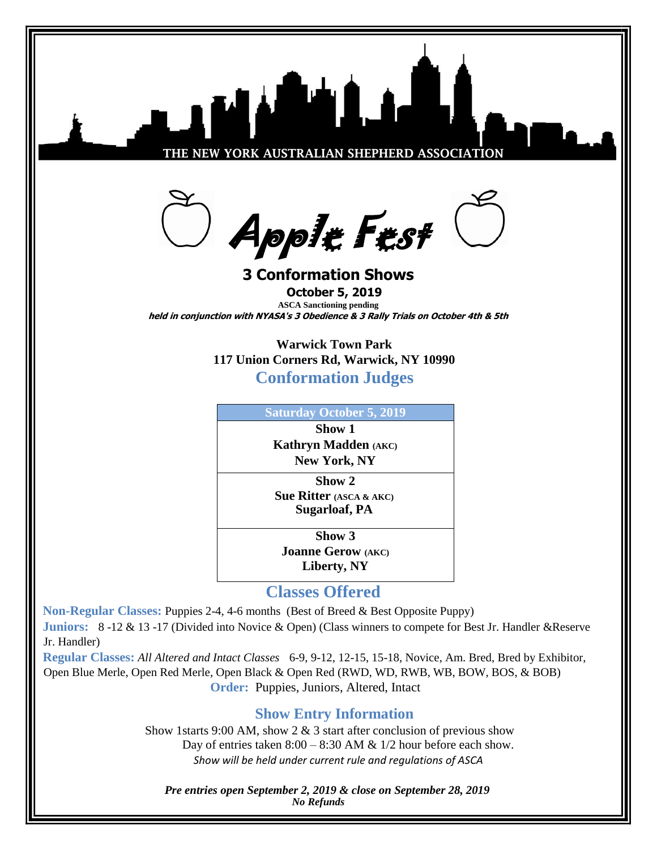

**Classes Offered**

**Non-Regular Classes:** Puppies 2-4, 4-6 months (Best of Breed & Best Opposite Puppy) **Juniors:** 8 -12 & 13 -17 (Divided into Novice & Open) (Class winners to compete for Best Jr. Handler &Reserve Jr. Handler)

**Regular Classes:** *All Altered and Intact Classes* 6-9, 9-12, 12-15, 15-18, Novice, Am. Bred, Bred by Exhibitor, Open Blue Merle, Open Red Merle, Open Black & Open Red (RWD, WD, RWB, WB, BOW, BOS, & BOB) **Order:** Puppies, Juniors, Altered, Intact

## **Show Entry Information**

Show 1starts 9:00 AM, show 2  $\&$  3 start after conclusion of previous show Day of entries taken  $8:00 - 8:30$  AM &  $1/2$  hour before each show. *Show will be held under current rule and regulations of ASCA*

 *Pre entries open September 2, 2019 & close on September 28, 2019 No Refunds*